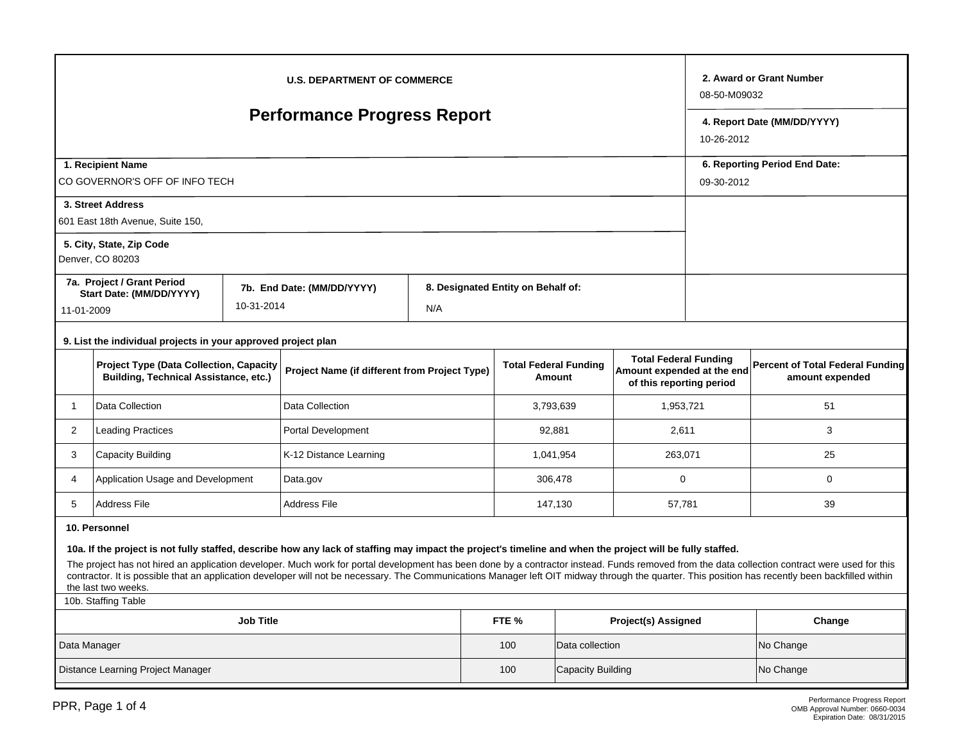| <b>U.S. DEPARTMENT OF COMMERCE</b>                                                                                                                                                                                                                                                                                                                                                                                                                                                                                                                                                                       |                                                                                                |                                               |                            |                                        |                                    |                                                                                        |                            |                                                     |             | 2. Award or Grant Number<br>08-50-M09032    |  |  |
|----------------------------------------------------------------------------------------------------------------------------------------------------------------------------------------------------------------------------------------------------------------------------------------------------------------------------------------------------------------------------------------------------------------------------------------------------------------------------------------------------------------------------------------------------------------------------------------------------------|------------------------------------------------------------------------------------------------|-----------------------------------------------|----------------------------|----------------------------------------|------------------------------------|----------------------------------------------------------------------------------------|----------------------------|-----------------------------------------------------|-------------|---------------------------------------------|--|--|
| <b>Performance Progress Report</b>                                                                                                                                                                                                                                                                                                                                                                                                                                                                                                                                                                       |                                                                                                |                                               |                            |                                        |                                    |                                                                                        |                            |                                                     |             | 4. Report Date (MM/DD/YYYY)<br>10-26-2012   |  |  |
| 1. Recipient Name<br>CO GOVERNOR'S OFF OF INFO TECH                                                                                                                                                                                                                                                                                                                                                                                                                                                                                                                                                      |                                                                                                |                                               |                            |                                        |                                    |                                                                                        |                            |                                                     |             | 6. Reporting Period End Date:<br>09-30-2012 |  |  |
|                                                                                                                                                                                                                                                                                                                                                                                                                                                                                                                                                                                                          | 3. Street Address<br>601 East 18th Avenue, Suite 150,                                          |                                               |                            |                                        |                                    |                                                                                        |                            |                                                     |             |                                             |  |  |
|                                                                                                                                                                                                                                                                                                                                                                                                                                                                                                                                                                                                          | 5. City, State, Zip Code<br>Denver, CO 80203                                                   |                                               |                            |                                        |                                    |                                                                                        |                            |                                                     |             |                                             |  |  |
| 7a. Project / Grant Period<br>Start Date: (MM/DD/YYYY)<br>10-31-2014<br>11-01-2009                                                                                                                                                                                                                                                                                                                                                                                                                                                                                                                       |                                                                                                |                                               | 7b. End Date: (MM/DD/YYYY) | N/A                                    | 8. Designated Entity on Behalf of: |                                                                                        |                            |                                                     |             |                                             |  |  |
| 9. List the individual projects in your approved project plan                                                                                                                                                                                                                                                                                                                                                                                                                                                                                                                                            |                                                                                                |                                               |                            |                                        |                                    |                                                                                        |                            |                                                     |             |                                             |  |  |
|                                                                                                                                                                                                                                                                                                                                                                                                                                                                                                                                                                                                          | <b>Project Type (Data Collection, Capacity</b><br><b>Building, Technical Assistance, etc.)</b> | Project Name (if different from Project Type) |                            | <b>Total Federal Funding</b><br>Amount |                                    | <b>Total Federal Funding</b><br>Amount expended at the end<br>of this reporting period |                            | Percent of Total Federal Funding<br>amount expended |             |                                             |  |  |
| $\mathbf{1}$                                                                                                                                                                                                                                                                                                                                                                                                                                                                                                                                                                                             | Data Collection                                                                                | Data Collection                               |                            |                                        | 3,793,639                          |                                                                                        | 1,953,721                  |                                                     | 51          |                                             |  |  |
| $\overline{2}$<br><b>Leading Practices</b>                                                                                                                                                                                                                                                                                                                                                                                                                                                                                                                                                               |                                                                                                |                                               | Portal Development         |                                        |                                    | 92,881                                                                                 |                            | 2,611                                               |             | 3                                           |  |  |
| 3<br>Capacity Building                                                                                                                                                                                                                                                                                                                                                                                                                                                                                                                                                                                   |                                                                                                |                                               | K-12 Distance Learning     |                                        |                                    | 1,041,954                                                                              |                            | 263,071                                             |             | 25                                          |  |  |
| 4<br>Application Usage and Development                                                                                                                                                                                                                                                                                                                                                                                                                                                                                                                                                                   |                                                                                                |                                               | Data.gov                   |                                        | 306,478                            |                                                                                        | 0                          |                                                     | $\mathbf 0$ |                                             |  |  |
| 5                                                                                                                                                                                                                                                                                                                                                                                                                                                                                                                                                                                                        | <b>Address File</b>                                                                            | <b>Address File</b>                           |                            | 147,130                                |                                    | 57,781                                                                                 |                            | 39                                                  |             |                                             |  |  |
| 10. Personnel<br>10a. If the project is not fully staffed, describe how any lack of staffing may impact the project's timeline and when the project will be fully staffed.<br>The project has not hired an application developer. Much work for portal development has been done by a contractor instead. Funds removed from the data collection contract were used for this<br>contractor. It is possible that an application developer will not be necessary. The Communications Manager left OIT midway through the quarter. This position has recently been backfilled within<br>the last two weeks. |                                                                                                |                                               |                            |                                        |                                    |                                                                                        |                            |                                                     |             |                                             |  |  |
| 10b. Staffing Table                                                                                                                                                                                                                                                                                                                                                                                                                                                                                                                                                                                      |                                                                                                |                                               |                            |                                        |                                    |                                                                                        |                            |                                                     |             |                                             |  |  |
| <b>Job Title</b>                                                                                                                                                                                                                                                                                                                                                                                                                                                                                                                                                                                         |                                                                                                |                                               |                            |                                        |                                    | FTE %                                                                                  | <b>Project(s) Assigned</b> |                                                     |             | Change                                      |  |  |
| Data Manager                                                                                                                                                                                                                                                                                                                                                                                                                                                                                                                                                                                             |                                                                                                |                                               |                            |                                        |                                    | 100                                                                                    | Data collection            |                                                     |             | No Change                                   |  |  |
| Distance Learning Project Manager                                                                                                                                                                                                                                                                                                                                                                                                                                                                                                                                                                        |                                                                                                |                                               |                            |                                        |                                    | 100                                                                                    | <b>Capacity Building</b>   |                                                     |             | No Change                                   |  |  |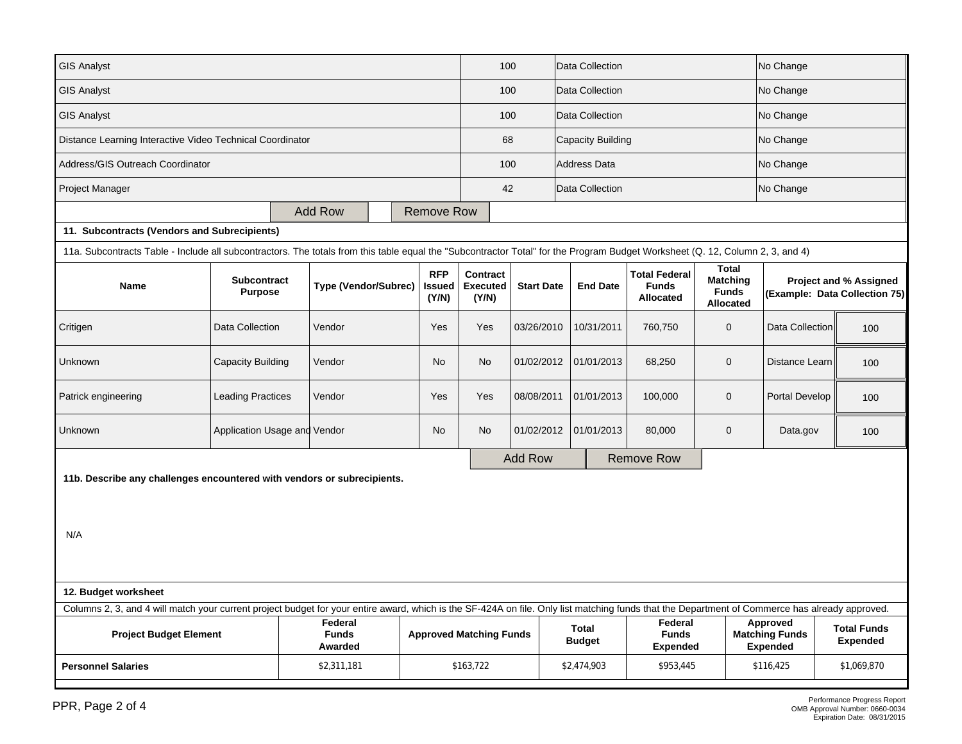| <b>GIS Analyst</b>                                                                                                                                                                             |                              |  |                                    |  |                                |                                             | 100               |                               | Data Collection     |                                                          |                                                                     | No Change                                            |                                                                |
|------------------------------------------------------------------------------------------------------------------------------------------------------------------------------------------------|------------------------------|--|------------------------------------|--|--------------------------------|---------------------------------------------|-------------------|-------------------------------|---------------------|----------------------------------------------------------|---------------------------------------------------------------------|------------------------------------------------------|----------------------------------------------------------------|
| <b>GIS Analyst</b>                                                                                                                                                                             |                              |  |                                    |  |                                |                                             | 100               |                               | Data Collection     |                                                          |                                                                     | No Change                                            |                                                                |
| <b>GIS Analyst</b>                                                                                                                                                                             |                              |  |                                    |  |                                |                                             | 100               |                               | Data Collection     |                                                          |                                                                     | No Change                                            |                                                                |
| Distance Learning Interactive Video Technical Coordinator                                                                                                                                      |                              |  |                                    |  |                                |                                             | 68                |                               | Capacity Building   |                                                          |                                                                     | No Change                                            |                                                                |
| Address/GIS Outreach Coordinator                                                                                                                                                               |                              |  |                                    |  |                                |                                             | 100               |                               | <b>Address Data</b> |                                                          |                                                                     | No Change                                            |                                                                |
| Project Manager                                                                                                                                                                                |                              |  |                                    |  |                                |                                             | 42                |                               | Data Collection     |                                                          |                                                                     | No Change                                            |                                                                |
|                                                                                                                                                                                                |                              |  | <b>Add Row</b>                     |  | <b>Remove Row</b>              |                                             |                   |                               |                     |                                                          |                                                                     |                                                      |                                                                |
| 11. Subcontracts (Vendors and Subrecipients)                                                                                                                                                   |                              |  |                                    |  |                                |                                             |                   |                               |                     |                                                          |                                                                     |                                                      |                                                                |
| 11a. Subcontracts Table - Include all subcontractors. The totals from this table equal the "Subcontractor Total" for the Program Budget Worksheet (Q. 12, Column 2, 3, and 4)                  |                              |  |                                    |  |                                |                                             |                   |                               |                     |                                                          |                                                                     |                                                      |                                                                |
| <b>Subcontract</b><br><b>Name</b><br><b>Purpose</b>                                                                                                                                            |                              |  | <b>Type (Vendor/Subrec)</b>        |  | <b>RFP</b><br>Issued<br>(Y/N)  | <b>Contract</b><br><b>Executed</b><br>(Y/N) | <b>Start Date</b> |                               | <b>End Date</b>     | <b>Total Federal</b><br><b>Funds</b><br><b>Allocated</b> | <b>Total</b><br><b>Matching</b><br><b>Funds</b><br><b>Allocated</b> |                                                      | <b>Project and % Assigned</b><br>(Example: Data Collection 75) |
| Critigen                                                                                                                                                                                       | Data Collection              |  | Vendor                             |  | Yes                            | Yes                                         | 03/26/2010        |                               | 10/31/2011          | 760,750                                                  | $\mathsf{O}\xspace$                                                 | Data Collection                                      | 100                                                            |
| Unknown<br><b>Capacity Building</b>                                                                                                                                                            |                              |  | Vendor                             |  | No                             | No                                          | 01/02/2012        |                               | 01/01/2013          | 68,250                                                   | $\mathbf 0$                                                         | Distance Learn                                       | 100                                                            |
| Patrick engineering                                                                                                                                                                            | <b>Leading Practices</b>     |  | Vendor                             |  | Yes                            | Yes                                         | 08/08/2011        |                               | 01/01/2013          | 100,000                                                  | $\mathbf 0$                                                         | Portal Develop                                       | 100                                                            |
| Unknown                                                                                                                                                                                        | Application Usage and Vendor |  |                                    |  | No                             | No                                          | 01/02/2012        |                               | 01/01/2013          | 80,000                                                   | $\mathbf{0}$                                                        | Data.gov                                             | 100                                                            |
|                                                                                                                                                                                                |                              |  |                                    |  |                                |                                             | <b>Add Row</b>    |                               |                     | <b>Remove Row</b>                                        |                                                                     |                                                      |                                                                |
| 11b. Describe any challenges encountered with vendors or subrecipients.<br>N/A                                                                                                                 |                              |  |                                    |  |                                |                                             |                   |                               |                     |                                                          |                                                                     |                                                      |                                                                |
| 12. Budget worksheet                                                                                                                                                                           |                              |  |                                    |  |                                |                                             |                   |                               |                     |                                                          |                                                                     |                                                      |                                                                |
| Columns 2, 3, and 4 will match your current project budget for your entire award, which is the SF-424A on file. Only list matching funds that the Department of Commerce has already approved. |                              |  |                                    |  |                                |                                             |                   |                               |                     |                                                          |                                                                     |                                                      |                                                                |
| <b>Project Budget Element</b>                                                                                                                                                                  |                              |  | Federal<br><b>Funds</b><br>Awarded |  | <b>Approved Matching Funds</b> |                                             |                   | <b>Total</b><br><b>Budget</b> |                     | Federal<br><b>Funds</b><br><b>Expended</b>               |                                                                     | Approved<br><b>Matching Funds</b><br><b>Expended</b> | <b>Total Funds</b><br><b>Expended</b>                          |
| <b>Personnel Salaries</b>                                                                                                                                                                      |                              |  | \$2,311,181                        |  |                                | \$163,722                                   |                   | \$2,474,903                   |                     | \$953,445                                                |                                                                     | \$116,425                                            | \$1,069,870                                                    |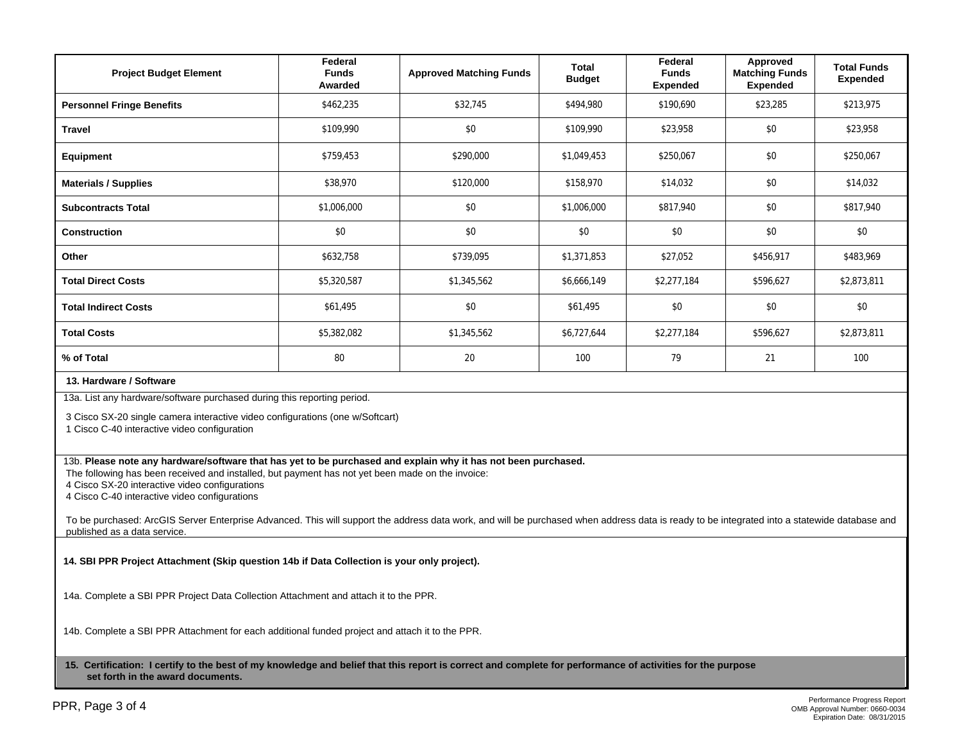| <b>Project Budget Element</b>                                                                                                                                                                                                                                                                                                                                                                                                                                                                                                                         | Federal<br><b>Funds</b><br>Awarded | <b>Approved Matching Funds</b> | <b>Total</b><br><b>Budget</b> | Federal<br><b>Funds</b><br><b>Expended</b> | Approved<br><b>Matching Funds</b><br><b>Expended</b> | <b>Total Funds</b><br><b>Expended</b> |  |  |  |
|-------------------------------------------------------------------------------------------------------------------------------------------------------------------------------------------------------------------------------------------------------------------------------------------------------------------------------------------------------------------------------------------------------------------------------------------------------------------------------------------------------------------------------------------------------|------------------------------------|--------------------------------|-------------------------------|--------------------------------------------|------------------------------------------------------|---------------------------------------|--|--|--|
| <b>Personnel Fringe Benefits</b>                                                                                                                                                                                                                                                                                                                                                                                                                                                                                                                      | \$462,235                          | \$32,745                       | \$494,980                     | \$190,690                                  | \$23,285                                             | \$213,975                             |  |  |  |
| <b>Travel</b>                                                                                                                                                                                                                                                                                                                                                                                                                                                                                                                                         | \$109,990                          | \$0                            | \$109.990                     | \$23.958                                   | \$0                                                  | \$23,958                              |  |  |  |
| <b>Equipment</b>                                                                                                                                                                                                                                                                                                                                                                                                                                                                                                                                      | \$759,453                          | \$290,000                      | \$1,049,453                   | \$250,067                                  | \$0                                                  | \$250,067                             |  |  |  |
| <b>Materials / Supplies</b>                                                                                                                                                                                                                                                                                                                                                                                                                                                                                                                           | \$38,970                           | \$120,000                      | \$158,970                     | \$14,032                                   | \$0                                                  | \$14,032                              |  |  |  |
| <b>Subcontracts Total</b>                                                                                                                                                                                                                                                                                                                                                                                                                                                                                                                             | \$1,006,000                        | \$0<br>\$1,006,000             |                               | \$817,940                                  | \$0                                                  | \$817,940                             |  |  |  |
| <b>Construction</b>                                                                                                                                                                                                                                                                                                                                                                                                                                                                                                                                   | \$0                                | \$0<br>\$0                     |                               | \$0                                        | \$0                                                  | \$0                                   |  |  |  |
| Other                                                                                                                                                                                                                                                                                                                                                                                                                                                                                                                                                 | \$632,758                          | \$739,095                      | \$1,371,853                   |                                            | \$456,917                                            | \$483,969                             |  |  |  |
| <b>Total Direct Costs</b>                                                                                                                                                                                                                                                                                                                                                                                                                                                                                                                             | \$5,320,587                        | \$1,345,562                    | \$6,666,149                   |                                            | \$596.627                                            | \$2,873,811                           |  |  |  |
| <b>Total Indirect Costs</b>                                                                                                                                                                                                                                                                                                                                                                                                                                                                                                                           | \$61,495                           | \$0                            | \$61,495                      | \$0                                        | \$0                                                  | \$0                                   |  |  |  |
| <b>Total Costs</b>                                                                                                                                                                                                                                                                                                                                                                                                                                                                                                                                    | \$5,382,082                        | \$1,345,562                    | \$6,727,644                   |                                            | \$596,627                                            | \$2,873,811                           |  |  |  |
| % of Total                                                                                                                                                                                                                                                                                                                                                                                                                                                                                                                                            | 80                                 | 20                             | 100                           | 79                                         | 21                                                   | 100                                   |  |  |  |
| 13. Hardware / Software                                                                                                                                                                                                                                                                                                                                                                                                                                                                                                                               |                                    |                                |                               |                                            |                                                      |                                       |  |  |  |
| 13a. List any hardware/software purchased during this reporting period.<br>3 Cisco SX-20 single camera interactive video configurations (one w/Softcart)<br>1 Cisco C-40 interactive video configuration                                                                                                                                                                                                                                                                                                                                              |                                    |                                |                               |                                            |                                                      |                                       |  |  |  |
| 13b. Please note any hardware/software that has yet to be purchased and explain why it has not been purchased.<br>The following has been received and installed, but payment has not yet been made on the invoice:<br>4 Cisco SX-20 interactive video configurations<br>4 Cisco C-40 interactive video configurations<br>To be purchased: ArcGIS Server Enterprise Advanced. This will support the address data work, and will be purchased when address data is ready to be integrated into a statewide database and<br>published as a data service. |                                    |                                |                               |                                            |                                                      |                                       |  |  |  |
| 14. SBI PPR Project Attachment (Skip question 14b if Data Collection is your only project).                                                                                                                                                                                                                                                                                                                                                                                                                                                           |                                    |                                |                               |                                            |                                                      |                                       |  |  |  |
| 14a. Complete a SBI PPR Project Data Collection Attachment and attach it to the PPR.                                                                                                                                                                                                                                                                                                                                                                                                                                                                  |                                    |                                |                               |                                            |                                                      |                                       |  |  |  |
| 14b. Complete a SBI PPR Attachment for each additional funded project and attach it to the PPR.                                                                                                                                                                                                                                                                                                                                                                                                                                                       |                                    |                                |                               |                                            |                                                      |                                       |  |  |  |
| 15. Certification: I certify to the best of my knowledge and belief that this report is correct and complete for performance of activities for the purpose<br>set forth in the award documents.                                                                                                                                                                                                                                                                                                                                                       |                                    |                                |                               |                                            |                                                      |                                       |  |  |  |